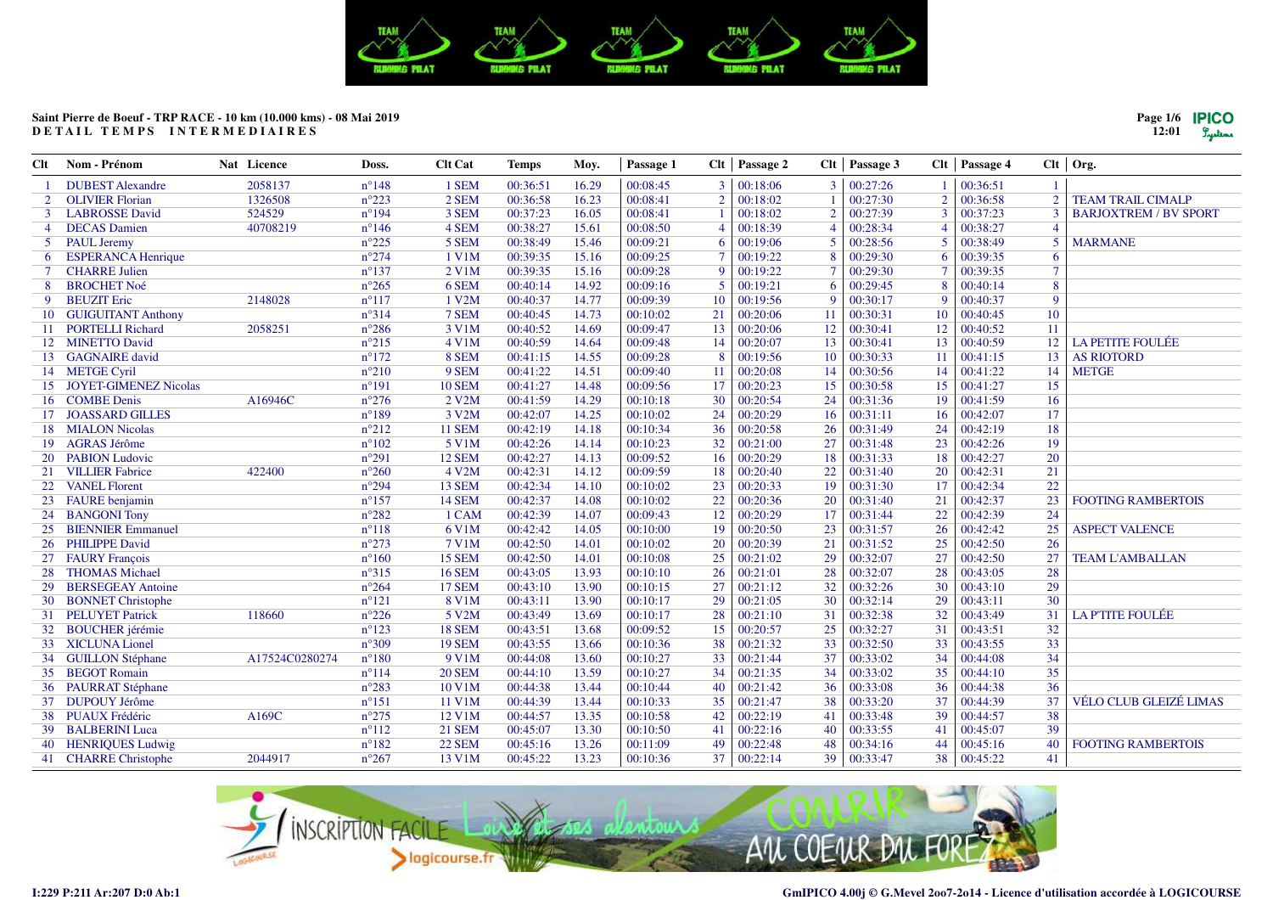

| Clt | Nom - Prénom                 | Nat Licence    | Doss.          | <b>Clt Cat</b> | <b>Temps</b> | Moy.  | Passage 1 |                | $Clt$   Passage 2 | Clt            | Passage 3 |                 | $Clt$   Passage 4  |                | $Clt$ Org.                    |
|-----|------------------------------|----------------|----------------|----------------|--------------|-------|-----------|----------------|-------------------|----------------|-----------|-----------------|--------------------|----------------|-------------------------------|
|     | <b>DUBEST</b> Alexandre      | 2058137        | $n^{\circ}148$ | 1 SEM          | 00:36:51     | 16.29 | 00:08:45  | 3              | 00:18:06          | 3              | 00:27:26  |                 | 00:36:51           |                |                               |
| 2   | <b>OLIVIER Florian</b>       | 1326508        | $n^{\circ}223$ | 2 SEM          | 00:36:58     | 16.23 | 00:08:41  | $\overline{2}$ | 00:18:02          |                | 00:27:30  | $\overline{2}$  | 00:36:58           |                | <b>TEAM TRAIL CIMALP</b>      |
| 3   | <b>LABROSSE</b> David        | 524529         | $n^{\circ}194$ | 3 SEM          | 00:37:23     | 16.05 | 00:08:41  | $\overline{1}$ | 00:18:02          | $\overline{2}$ | 00:27:39  | $\mathbf{3}$    | 00:37:23           |                | <b>BARJOXTREM / BV SPORT</b>  |
| 4   | <b>DECAS</b> Damien          | 40708219       | $n^{\circ}146$ | 4 SEM          | 00:38:27     | 15.61 | 00:08:50  | $\overline{4}$ | 00:18:39          | $\overline{4}$ | 00:28:34  | $\overline{4}$  | 00:38:27           |                |                               |
|     | 5 PAUL Jeremy                |                | $n^{\circ}225$ | 5 SEM          | 00:38:49     | 15.46 | 00:09:21  | 6              | 00:19:06          | 5              | 00:28:56  | 5               | 00:38:49           |                | <b>MARMANE</b>                |
| 6   | <b>ESPERANCA Henrique</b>    |                | $n^{\circ}274$ | $1$ V1M        | 00:39:35     | 15.16 | 00:09:25  | $\tau$         | 00:19:22          | 8              | 00:29:30  | 6               | 00:39:35           | 6              |                               |
|     | <b>CHARRE Julien</b>         |                | $n^{\circ}137$ | 2 V1M          | 00:39:35     | 15.16 | 00:09:28  | 9              | 00:19:22          | $\tau$         | 00:29:30  |                 | 00:39:35           |                |                               |
| 8   | <b>BROCHET Noé</b>           |                | $n^{\circ}265$ | 6 SEM          | 00:40:14     | 14.92 | 00:09:16  | 5              | 00:19:21          | 6              | 00:29:45  | 8               | 00:40:14           | $\overline{8}$ |                               |
| 9   | <b>BEUZIT</b> Eric           | 2148028        | $n^{\circ}117$ | 1 V2M          | 00:40:37     | 14.77 | 00:09:39  | 10             | 00:19:56          | 9              | 00:30:17  | 9               | 00:40:37           | $\mathbf Q$    |                               |
| 10  | <b>GUIGUITANT Anthony</b>    |                | $n^{\circ}314$ | 7 SEM          | 00:40:45     | 14.73 | 00:10:02  | 21             | 00:20:06          | 11             | 00:30:31  | 10              | 00:40:45           | 10             |                               |
| -11 | <b>PORTELLI Richard</b>      | 2058251        | $n^{\circ}286$ | 3 V1M          | 00:40:52     | 14.69 | 00:09:47  | 13             | 00:20:06          | 12             | 00:30:41  | 12              | 00:40:52           | 11             |                               |
| 12  | <b>MINETTO David</b>         |                | $n^{\circ}215$ | 4 V1M          | 00:40:59     | 14.64 | 00:09:48  | 14             | 00:20:07          | 13             | 00:30:41  | 13              | 00:40:59           | 12             | <b>LA PETITE FOULÉE</b>       |
|     | 13 GAGNAIRE david            |                | $n^{\circ}172$ | 8 SEM          | 00:41:15     | 14.55 | 00:09:28  | 8              | 00:19:56          | 10             | 00:30:33  | 11              | 00:41:15           | 13             | <b>AS RIOTORD</b>             |
|     | 14 METGE Cyril               |                | $n^{\circ}210$ | 9 SEM          | 00:41:22     | 14.51 | 00:09:40  | 11             | 00:20:08          | 14             | 00:30:56  | 14              | 00:41:22           | 14             | <b>METGE</b>                  |
| 15  | <b>JOYET-GIMENEZ Nicolas</b> |                | $n^{\circ}191$ | <b>10 SEM</b>  | 00:41:27     | 14.48 | 00:09:56  | 17             | 00:20:23          | 15             | 00:30:58  | 15              | 00:41:27           | 15             |                               |
| 16  | <b>COMBE Denis</b>           | A16946C        | $n^{\circ}276$ | 2 V2M          | 00:41:59     | 14.29 | 00:10:18  | 30             | 00:20:54          | 24             | 00:31:36  | 19              | 00:41:59           | 16             |                               |
| 17  | <b>JOASSARD GILLES</b>       |                | $n^{\circ}189$ | 3 V2M          | 00:42:07     | 14.25 | 00:10:02  | 24             | 00:20:29          | 16             | 00:31:11  | 16              | 00:42:07           | 17             |                               |
| 18  | <b>MIALON Nicolas</b>        |                | $n^{\circ}212$ | <b>11 SEM</b>  | 00:42:19     | 14.18 | 00:10:34  | 36             | 00:20:58          | 26             | 00:31:49  | 24              | 00:42:19           | 18             |                               |
| 19  | <b>AGRAS Jérôme</b>          |                | $n^{\circ}102$ | 5 V1M          | 00:42:26     | 14.14 | 00:10:23  | 32             | 00:21:00          | 27             | 00:31:48  | 23              | 00:42:26           | 19             |                               |
| 20  | <b>PABION Ludovic</b>        |                | $n^{\circ}291$ | 12 SEM         | 00:42:27     | 14.13 | 00:09:52  | 16             | 00:20:29          | 18             | 00:31:33  | 18              | 00:42:27           | 20             |                               |
|     | 21 VILLIER Fabrice           | 422400         | $n^{\circ}260$ | 4 V2M          | 00:42:31     | 14.12 | 00:09:59  | 18             | 00:20:40          | 22             | 00:31:40  | 20              | 00:42:31           | 21             |                               |
|     | 22 VANEL Florent             |                | $n^{\circ}294$ | 13 SEM         | 00:42:34     | 14.10 | 00:10:02  | 23             | 00:20:33          | 19             | 00:31:30  | 17              | 00:42:34           | 22             |                               |
| 23  | <b>FAURE</b> benjamin        |                | $n^{\circ}157$ | <b>14 SEM</b>  | 00:42:37     | 14.08 | 00:10:02  | 22             | 00:20:36          | 20             | 00:31:40  | 21              | 00:42:37           | 23             | <b>FOOTING RAMBERTOIS</b>     |
| 24  | <b>BANGONI</b> Tony          |                | $n^{\circ}282$ | 1 CAM          | 00:42:39     | 14.07 | 00:09:43  | 12             | 00:20:29          | 17             | 00:31:44  | 22              | 00:42:39           | 24             |                               |
| 25  | <b>BIENNIER Emmanuel</b>     |                | $n^{\circ}118$ | 6 V1M          | 00:42:42     | 14.05 | 00:10:00  | 19             | 00:20:50          | 23             | 00:31:57  | 26              | 00:42:42           | 25             | <b>ASPECT VALENCE</b>         |
| 26  | <b>PHILIPPE David</b>        |                | $n^{\circ}273$ | 7 V1M          | 00:42:50     | 14.01 | 00:10:02  | 20             | 00:20:39          | 21             | 00:31:52  | 25              | 00:42:50           | 26             |                               |
|     | 27 FAURY François            |                | $n^{\circ}160$ | <b>15 SEM</b>  | 00:42:50     | 14.01 | 00:10:08  | 25             | 00:21:02          | 29             | 00:32:07  | 27              | 00:42:50           | 27             | <b>TEAM L'AMBALLAN</b>        |
| 28  | <b>THOMAS Michael</b>        |                | $n^{\circ}315$ | <b>16 SEM</b>  | 00:43:05     | 13.93 | 00:10:10  | 26             | 00:21:01          | 28             | 00:32:07  | 28              | 00:43:05           | 28             |                               |
| 29  | <b>BERSEGEAY Antoine</b>     |                | $n^{\circ}264$ | <b>17 SEM</b>  | 00:43:10     | 13.90 | 00:10:15  | 27             | 00:21:12          | 32             | 00:32:26  | 30              | 00:43:10           | 29             |                               |
| 30  | <b>BONNET Christophe</b>     |                | $n^{\circ}121$ | 8 V1M          | 00:43:11     | 13.90 | 00:10:17  | 29             | 00:21:05          | 30             | 00:32:14  | 29              | 00:43:11           | 30             |                               |
|     | 31 PELUYET Patrick           | 118660         | $n^{\circ}226$ | 5 V2M          | 00:43:49     | 13.69 | 00:10:17  | 28             | 00:21:10          | 31             | 00:32:38  | 32              | 00:43:49           | 31             | <b>LA P'TITE FOULÉE</b>       |
| 32  | <b>BOUCHER</b> jérémie       |                | $n^{\circ}123$ | <b>18 SEM</b>  | 00:43:51     | 13.68 | 00:09:52  | 15             | 00:20:57          | 25             | 00:32:27  | 31              | 00:43:51           | 32             |                               |
| 33  | <b>XICLUNA Lionel</b>        |                | $n^{\circ}309$ | <b>19 SEM</b>  | 00:43:55     | 13.66 | 00:10:36  | 38             | 00:21:32          | 33             | 00:32:50  | 33              | 00:43:55           | 33             |                               |
|     | 34 GUILLON Stéphane          | A17524C0280274 | $n^{\circ}180$ | 9 V1M          | 00:44:08     | 13.60 | 00:10:27  | 33             | 00:21:44          | 37             | 00:33:02  | 34              | 00:44:08           | 34             |                               |
| 35  | <b>BEGOT Romain</b>          |                | $n^{\circ}114$ | <b>20 SEM</b>  | 00:44:10     | 13.59 | 00:10:27  | 34             | 00:21:35          | 34             | 00:33:02  | 35 <sup>5</sup> | 00:44:10           | 35             |                               |
|     | 36 PAURRAT Stéphane          |                | $n^{\circ}283$ | 10 V1M         | 00:44:38     | 13.44 | 00:10:44  | 40             | 00:21:42          | 36             | 00:33:08  | 36              | 00:44:38           | 36             |                               |
|     | 37 DUPOUY Jérôme             |                | $n^{\circ}151$ | 11 V1M         | 00:44:39     | 13.44 | 00:10:33  | 35             | 00:21:47          | 38             | 00:33:20  | 37              | 00:44:39           | 37             | <b>VÉLO CLUB GLEIZÉ LIMAS</b> |
|     | 38 PUAUX Frédéric            | A169C          | $n^{\circ}275$ | 12 V1M         | 00:44:57     | 13.35 | 00:10:58  | 42             | 00:22:19          | 41             | 00:33:48  | 39              | 00:44:57           | 38             |                               |
|     | 39 BALBERINI Luca            |                | $n^{\circ}112$ | <b>21 SEM</b>  | 00:45:07     | 13.30 | 00:10:50  | 41             | 00:22:16          | 40             | 00:33:55  | 41              | 00:45:07           | 39             |                               |
| 40  | <b>HENRIQUES Ludwig</b>      |                | $n^{\circ}182$ | <b>22 SEM</b>  | 00:45:16     | 13.26 | 00:11:09  | 49             | 00:22:48          | 48             | 00:34:16  | 44              | 00:45:16           | 40             | <b>FOOTING RAMBERTOIS</b>     |
|     | 41 CHARRE Christophe         | 2044917        | $n^{\circ}267$ | 13 V1M         | 00:45:22     | 13.23 | 00:10:36  | 37             | 00:22:14          | 39             | 00:33:47  |                 | $38 \mid 00:45:22$ | 41             |                               |
|     |                              |                |                |                |              |       |           |                |                   |                |           |                 |                    |                |                               |



**Page 1/612:01**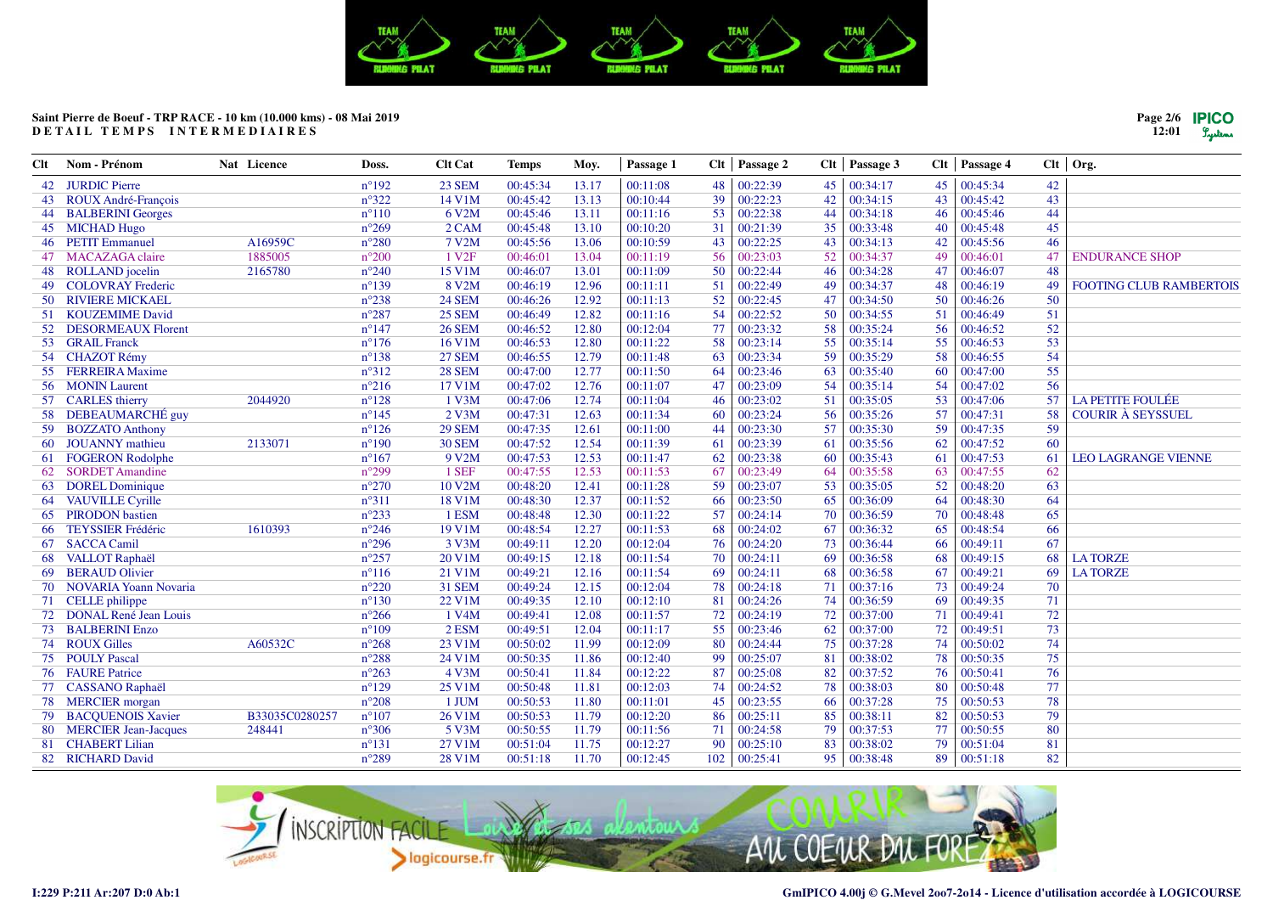

| Clt | Nom - Prénom                 | Nat Licence    | Doss.          | <b>Clt Cat</b>     | <b>Temps</b> | Moy.  | Passage 1 |     | $Clt$   Passage 2 | Clt | Passage 3 |    | Clt   Passage 4 |    | $Clt$ Org.                     |
|-----|------------------------------|----------------|----------------|--------------------|--------------|-------|-----------|-----|-------------------|-----|-----------|----|-----------------|----|--------------------------------|
|     | 42 JURDIC Pierre             |                | $n^{\circ}192$ | <b>23 SEM</b>      | 00:45:34     | 13.17 | 00:11:08  | 48  | 00:22:39          | 45  | 00:34:17  | 45 | 00:45:34        | 42 |                                |
| 43  | ROUX André-François          |                | $n^{\circ}322$ | 14 V1M             | 00:45:42     | 13.13 | 00:10:44  | 39  | 00:22:23          | 42  | 00:34:15  | 43 | 00:45:42        | 43 |                                |
|     | 44 BALBERINI Georges         |                | $n^{\circ}110$ | 6 V2M              | 00:45:46     | 13.11 | 00:11:16  | 53  | 00:22:38          | 44  | 00:34:18  | 46 | 00:45:46        | 44 |                                |
| 45  | <b>MICHAD Hugo</b>           |                | $n^{\circ}269$ | 2 CAM              | 00:45:48     | 13.10 | 00:10:20  | 31  | 00:21:39          | 35  | 00:33:48  | 40 | 00:45:48        | 45 |                                |
|     | 46 PETIT Emmanuel            | A16959C        | $n^{\circ}280$ | 7 V2M              | 00:45:56     | 13.06 | 00:10:59  | 43  | 00:22:25          | 43  | 00:34:13  | 42 | 00:45:56        | 46 |                                |
|     | 47 MACAZAGA claire           | 1885005        | $n^{\circ}200$ | 1 V <sub>2F</sub>  | 00:46:01     | 13.04 | 00:11:19  | 56  | 00:23:03          | 52  | 00:34:37  | 49 | 00:46:01        | 47 | <b>ENDURANCE SHOP</b>          |
| 48  | ROLLAND jocelin              | 2165780        | $n^{\circ}240$ | 15 V1M             | 00:46:07     | 13.01 | 00:11:09  | 50  | 00:22:44          | 46  | 00:34:28  | 47 | 00:46:07        | 48 |                                |
| 49  | <b>COLOVRAY Frederic</b>     |                | $n^{\circ}139$ | 8 V2M              | 00:46:19     | 12.96 | 00:11:11  | 51  | 00:22:49          | 49  | 00:34:37  | 48 | 00:46:19        | 49 | <b>FOOTING CLUB RAMBERTOIS</b> |
| 50  | <b>RIVIERE MICKAEL</b>       |                | $n^{\circ}238$ | <b>24 SEM</b>      | 00:46:26     | 12.92 | 00:11:13  | 52  | 00:22:45          | 47  | 00:34:50  | 50 | 00:46:26        | 50 |                                |
| 51  | <b>KOUZEMIME David</b>       |                | $n^{\circ}287$ | <b>25 SEM</b>      | 00:46:49     | 12.82 | 00:11:16  | 54  | 00:22:52          | 50  | 00:34:55  | 51 | 00:46:49        | 51 |                                |
| 52  | <b>DESORMEAUX Florent</b>    |                | $n^{\circ}147$ | <b>26 SEM</b>      | 00:46:52     | 12.80 | 00:12:04  | 77  | 00:23:32          | 58  | 00:35:24  | 56 | 00:46:52        | 52 |                                |
| 53  | <b>GRAIL Franck</b>          |                | $n^{\circ}176$ | 16 V1M             | 00:46:53     | 12.80 | 00:11:22  | 58  | 00:23:14          | 55  | 00:35:14  | 55 | 00:46:53        | 53 |                                |
|     | 54 CHAZOT Rémy               |                | $n^{\circ}138$ | <b>27 SEM</b>      | 00:46:55     | 12.79 | 00:11:48  | 63  | 00:23:34          | 59  | 00:35:29  | 58 | 00:46:55        | 54 |                                |
|     | 55 FERREIRA Maxime           |                | $n^{\circ}312$ | <b>28 SEM</b>      | 00:47:00     | 12.77 | 00:11:50  | -64 | 00:23:46          | 63  | 00:35:40  | 60 | 00:47:00        | 55 |                                |
|     | 56 MONIN Laurent             |                | $n^{\circ}216$ | 17 V1M             | 00:47:02     | 12.76 | 00:11:07  | 47  | 00:23:09          | 54  | 00:35:14  | 54 | 00:47:02        | 56 |                                |
|     | 57 CARLES thierry            | 2044920        | $n^{\circ}128$ | 1 V3M              | 00:47:06     | 12.74 | 00:11:04  | 46  | 00:23:02          | 51  | 00:35:05  | 53 | 00:47:06        | 57 | <b>LA PETITE FOULÉE</b>        |
| 58  | DEBEAUMARCHÉ guy             |                | $n^{\circ}145$ | $2$ V3M            | 00:47:31     | 12.63 | 00:11:34  | 60  | 00:23:24          | 56  | 00:35:26  | 57 | 00:47:31        | 58 | <b>COURIR À SEYSSUEL</b>       |
|     | 59 BOZZATO Anthony           |                | $n^{\circ}126$ | <b>29 SEM</b>      | 00:47:35     | 12.61 | 00:11:00  | 44  | 00:23:30          | 57  | 00:35:30  | 59 | 00:47:35        | 59 |                                |
| 60  | <b>JOUANNY</b> mathieu       | 2133071        | $n^{\circ}190$ | <b>30 SEM</b>      | 00:47:52     | 12.54 | 00:11:39  | 61  | 00:23:39          | 61  | 00:35:56  | 62 | 00:47:52        | 60 |                                |
| 61  | <b>FOGERON Rodolphe</b>      |                | $n^{\circ}167$ | 9 V2M              | 00:47:53     | 12.53 | 00:11:47  | 62  | 00:23:38          | 60  | 00:35:43  | 61 | 00:47:53        | 61 | <b>LEO LAGRANGE VIENNE</b>     |
| 62  | <b>SORDET Amandine</b>       |                | $n^{\circ}299$ | 1 SEF              | 00:47:55     | 12.53 | 00:11:53  | 67  | 00:23:49          | 64  | 00:35:58  | 63 | 00:47:55        | 62 |                                |
| 63  | <b>DOREL Dominique</b>       |                | $n^{\circ}270$ | 10 V2M             | 00:48:20     | 12.41 | 00:11:28  | 59  | 00:23:07          | 53  | 00:35:05  | 52 | 00:48:20        | 63 |                                |
| 64  | <b>VAUVILLE Cyrille</b>      |                | $n^{\circ}311$ | 18 V1M             | 00:48:30     | 12.37 | 00:11:52  | 66  | 00:23:50          | 65  | 00:36:09  | 64 | 00:48:30        | 64 |                                |
| 65  | <b>PIRODON</b> bastien       |                | $n^{\circ}233$ | 1 ESM              | 00:48:48     | 12.30 | 00:11:22  | 57  | 00:24:14          | 70  | 00:36:59  | 70 | 00:48:48        | 65 |                                |
| 66  | <b>TEYSSIER Frédéric</b>     | 1610393        | $n^{\circ}246$ | 19 V1M             | 00:48:54     | 12.27 | 00:11:53  | 68  | 00:24:02          | 67  | 00:36:32  | 65 | 00:48:54        | 66 |                                |
| 67  | <b>SACCA Camil</b>           |                | $n^{\circ}296$ | 3 V3M              | 00:49:11     | 12.20 | 00:12:04  | 76  | 00:24:20          | 73  | 00:36:44  | 66 | 00:49:11        | 67 |                                |
| 68  | <b>VALLOT</b> Raphaël        |                | $n^{\circ}257$ | 20 V1M             | 00:49:15     | 12.18 | 00:11:54  | 70  | 00:24:11          | 69  | 00:36:58  | 68 | 00:49:15        | 68 | <b>LATORZE</b>                 |
| 69  | <b>BERAUD Olivier</b>        |                | $n^{\circ}116$ | 21 V1M             | 00:49:21     | 12.16 | 00:11:54  | 69  | 00:24:11          | 68  | 00:36:58  | 67 | 00:49:21        | 69 | <b>LA TORZE</b>                |
| 70  | <b>NOVARIA Yoann Novaria</b> |                | $n^{\circ}220$ | <b>31 SEM</b>      | 00:49:24     | 12.15 | 00:12:04  | 78  | 00:24:18          | 71  | 00:37:16  | 73 | 00:49:24        | 70 |                                |
|     | 71 CELLE philippe            |                | $n^{\circ}130$ | 22 V1M             | 00:49:35     | 12.10 | 00:12:10  | 81  | 00:24:26          | 74  | 00:36:59  | 69 | 00:49:35        | 71 |                                |
| 72  | <b>DONAL René Jean Louis</b> |                | $n^{\circ}266$ | 1 V <sub>4</sub> M | 00:49:41     | 12.08 | 00:11:57  | 72  | 00:24:19          | 72  | 00:37:00  | 71 | 00:49:41        | 72 |                                |
| 73  | <b>BALBERINI Enzo</b>        |                | $n^{\circ}109$ | 2 ESM              | 00:49:51     | 12.04 | 00:11:17  | 55  | 00:23:46          | 62  | 00:37:00  | 72 | 00:49:51        | 73 |                                |
| 74  | <b>ROUX Gilles</b>           | A60532C        | $n^{\circ}268$ | 23 V1M             | 00:50:02     | 11.99 | 00:12:09  | 80  | 00:24:44          | 75  | 00:37:28  | 74 | 00:50:02        | 74 |                                |
|     | 75 POULY Pascal              |                | $n^{\circ}288$ | 24 V1M             | 00:50:35     | 11.86 | 00:12:40  | 99  | 00:25:07          | 81  | 00:38:02  | 78 | 00:50:35        | 75 |                                |
|     | 76 FAURE Patrice             |                | $n^{\circ}263$ | 4 V3M              | 00:50:41     | 11.84 | 00:12:22  | 87  | 00:25:08          | 82  | 00:37:52  | 76 | 00:50:41        | 76 |                                |
|     | 77 CASSANO Raphaël           |                | $n^{\circ}129$ | 25 V1M             | 00:50:48     | 11.81 | 00:12:03  | 74  | 00:24:52          | 78  | 00:38:03  | 80 | 00:50:48        | 77 |                                |
| 78  | <b>MERCIER</b> morgan        |                | $n^{\circ}208$ | 1 JUM              | 00:50:53     | 11.80 | 00:11:01  | 45  | 00:23:55          | 66  | 00:37:28  | 75 | 00:50:53        | 78 |                                |
| 79  | <b>BACQUENOIS Xavier</b>     | B33035C0280257 | $n^{\circ}107$ | 26 V1M             | 00:50:53     | 11.79 | 00:12:20  | 86  | 00:25:11          | 85  | 00:38:11  | 82 | 00:50:53        | 79 |                                |
| 80  | <b>MERCIER Jean-Jacques</b>  | 248441         | $n^{\circ}306$ | 5 V3M              | 00:50:55     | 11.79 | 00:11:56  | 71  | 00:24:58          | 79  | 00:37:53  | 77 | 00:50:55        | 80 |                                |
| 81  | <b>CHABERT Lilian</b>        |                | $n^{\circ}131$ | 27 V1M             | 00:51:04     | 11.75 | 00:12:27  | 90  | 00:25:10          | 83  | 00:38:02  | 79 | 00:51:04        | 81 |                                |
|     | 82 RICHARD David             |                | $n^{\circ}289$ | 28 V1M             | 00:51:18     | 11.70 | 00:12:45  | 102 | 00:25:41          | 95  | 00:38:48  | 89 | 00:51:18        | 82 |                                |
|     |                              |                |                |                    |              |       |           |     |                   |     |           |    |                 |    |                                |



**Page 2/612:01**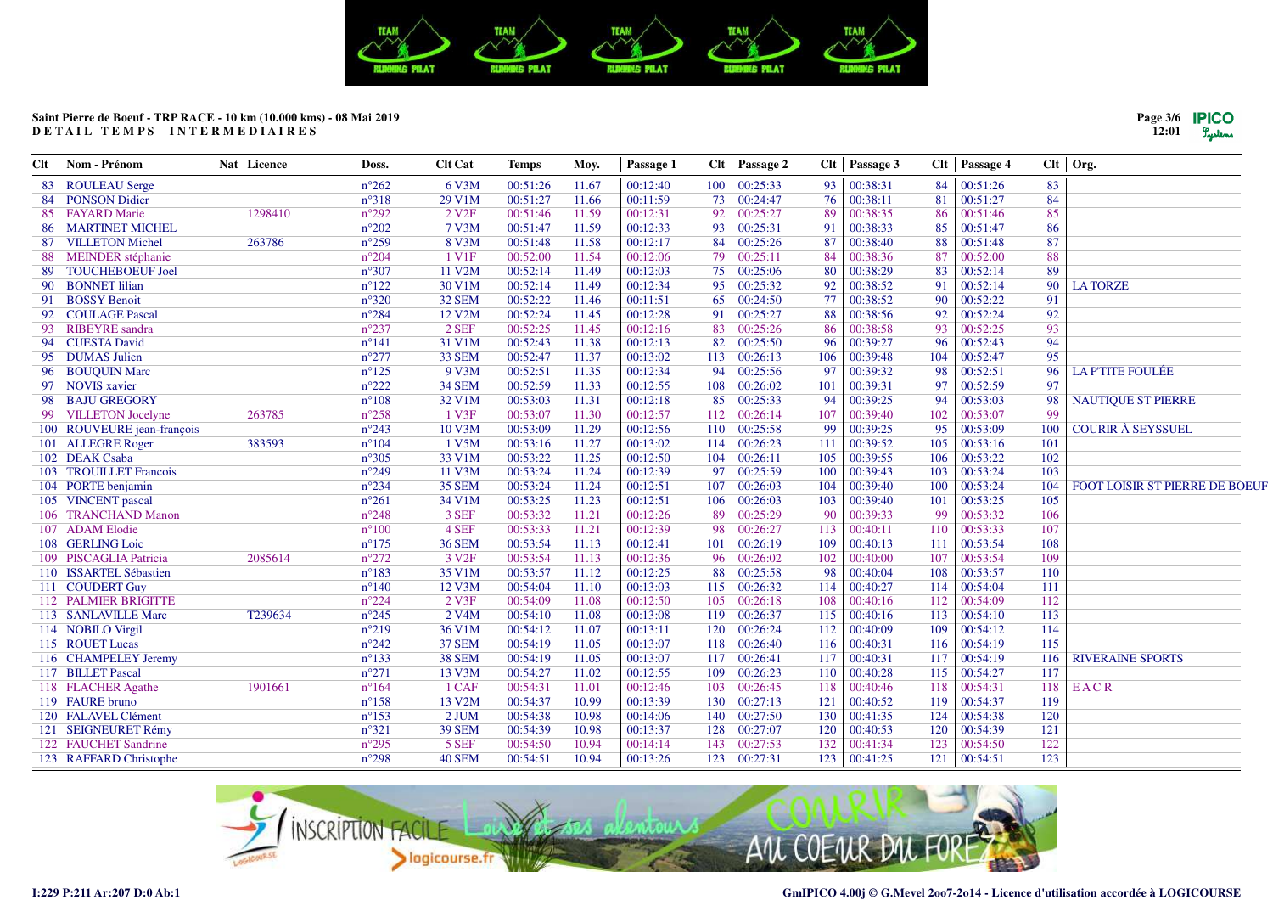

| 00:38:31<br><b>ROULEAU</b> Serge<br>$n^{\circ}262$<br>6 V3M<br>00:12:40<br>100<br>00:25:33<br>93<br>84<br>00:51:26<br>83<br>00:51:26<br>11.67<br>83<br>84<br>84 PONSON Didier<br>$n^{\circ}318$<br>29 V1M<br>00:51:27<br>00:11:59<br>00:24:47<br>00:38:11<br>81<br>00:51:27<br>11.66<br>73<br>76 |                                |
|--------------------------------------------------------------------------------------------------------------------------------------------------------------------------------------------------------------------------------------------------------------------------------------------------|--------------------------------|
|                                                                                                                                                                                                                                                                                                  |                                |
|                                                                                                                                                                                                                                                                                                  |                                |
| 85<br>85 FAYARD Marie<br>1298410<br>$n^{\circ}292$<br>2 V <sub>2F</sub><br>00:51:46<br>11.59<br>00:12:31<br>92<br>00:25:27<br>89<br>00:38:35<br>86<br>00:51:46                                                                                                                                   |                                |
| 86<br>11.59<br>00:12:33<br>00:51:47<br><b>MARTINET MICHEL</b><br>$n^{\circ}202$<br>7 V3M<br>00:51:47<br>93<br>00:25:31<br>91<br>00:38:33<br>85<br>86                                                                                                                                             |                                |
| $n^{\circ}259$<br>87<br>87<br>8 V3M<br>00:51:48<br>11.58<br>00:12:17<br>00:25:26<br>87<br>88<br><b>VILLETON Michel</b><br>263786<br>84<br>00:38:40<br>00:51:48                                                                                                                                   |                                |
| 88<br>$n^{\circ}204$<br>1 V <sub>1</sub> F<br>00:52:00<br>11.54<br>00:12:06<br>00:25:11<br>84<br>00:38:36<br>87<br>00:52:00<br><b>MEINDER</b> stéphanie<br>79<br>88                                                                                                                              |                                |
| 00:52:14<br>00:12:03<br>80<br>83<br>89<br>89<br><b>TOUCHEBOEUF Joel</b><br>$n^{\circ}307$<br>11 V2M<br>11.49<br>75<br>00:25:06<br>00:38:29<br>00:52:14                                                                                                                                           |                                |
| <b>BONNET</b> lilian<br>30 V1M<br>00:52:14<br>11.49<br>00:12:34<br>95<br>00:25:32<br>00:38:52<br>91<br>00:52:14<br>90<br>90<br>$n^{\circ}122$<br>92<br><b>LA TORZE</b>                                                                                                                           |                                |
| $n^{\circ}320$<br>32 SEM<br>00:52:22<br>00:11:51<br>00:52:22<br>91<br>91 BOSSY Benoit<br>11.46<br>65<br>00:24:50<br>77<br>00:38:52<br>90                                                                                                                                                         |                                |
| 12 V2M<br>00:52:24<br>00:12:28<br>92<br>00:52:24<br>92<br>92 COULAGE Pascal<br>$n^{\circ}284$<br>11.45<br>91<br>00:25:27<br>88<br>00:38:56                                                                                                                                                       |                                |
| 93<br>93<br>$n^{\circ}237$<br>2 SEF<br>00:52:25<br>11.45<br>00:12:16<br>83<br>00:25:26<br>00:52:25<br>93<br><b>RIBEYRE</b> sandra<br>86<br>00:38:58                                                                                                                                              |                                |
| 94<br><b>CUESTA David</b><br>31 V1M<br>00:52:43<br>11.38<br>00:12:13<br>82<br>00:25:50<br>96<br>00:39:27<br>96<br>00:52:43<br>94<br>$n^{\circ}141$                                                                                                                                               |                                |
| 95<br>95 DUMAS Julien<br>$n^{\circ}277$<br>33 SEM<br>00:52:47<br>11.37<br>00:13:02<br>104<br>00:52:47<br>113<br>00:26:13<br>106<br>00:39:48                                                                                                                                                      |                                |
| 9 V3M<br>00:52:51<br>00:12:34<br>94<br>97<br>98<br>00:52:51<br><b>LA P'TITE FOULÉE</b><br>96 BOUQUIN Marc<br>$n^{\circ}125$<br>11.35<br>00:25:56<br>00:39:32<br>96                                                                                                                               |                                |
| $n^{\circ}222$<br>97<br>97 NOVIS xavier<br>34 SEM<br>00:52:59<br>11.33<br>00:12:55<br>108<br>00:26:02<br>101<br>97<br>00:52:59<br>00:39:31                                                                                                                                                       |                                |
| 00:53:03<br>00:12:18<br>94<br><b>BAJU GREGORY</b><br>$n^{\circ}108$<br>32 V1M<br>11.31<br>85<br>00:25:33<br>94<br>00:39:25<br>00:53:03<br>98<br>98                                                                                                                                               | <b>NAUTIQUE ST PIERRE</b>      |
| 1 V3F<br>00:12:57<br>99<br>99 VILLETON Jocelyne<br>263785<br>$n^{\circ}258$<br>00:53:07<br>11.30<br>112<br>00:26:14<br>107<br>00:39:40<br>102<br>00:53:07                                                                                                                                        |                                |
| $n^{\circ}243$<br>10 V3M<br>00:53:09<br>11.29<br>00:12:56<br>110<br>00:25:58<br>99<br>95<br>00:53:09<br>100<br>100 ROUVEURE jean-françois<br>00:39:25                                                                                                                                            | <b>COURIR À SEYSSUEL</b>       |
| 1 V5M<br>105<br>101<br>101 ALLEGRE Roger<br>383593<br>$n^{\circ}104$<br>00:53:16<br>11.27<br>00:13:02<br>114<br>00:26:23<br>111<br>00:39:52<br>00:53:16                                                                                                                                          |                                |
| 102<br>102 DEAK Csaba<br>00:53:22<br>11.25<br>00:12:50<br>106<br>00:53:22<br>$n^{\circ}305$<br>33 V1M<br>104<br>00:26:11<br>105<br>00:39:55                                                                                                                                                      |                                |
| 11 V3M<br>00:53:24<br>00:12:39<br>103<br>103 TROUILLET Francois<br>$n^{\circ}249$<br>11.24<br>97<br>00:25:59<br>100<br>103<br>00:53:24<br>00:39:43                                                                                                                                               |                                |
| <b>35 SEM</b><br>00:53:24<br>00:12:51<br>104 PORTE benjamin<br>$n^{\circ}234$<br>11.24<br>107<br>00:26:03<br>104<br>00:39:40<br>100<br>00:53:24<br>104                                                                                                                                           | FOOT LOISIR ST PIERRE DE BOEUF |
| $n^{\circ}261$<br>00:53:25<br>11.23<br>00:12:51<br>106<br>103<br>101<br>105<br>105 VINCENT pascal<br>34 V1M<br>00:26:03<br>00:39:40<br>00:53:25                                                                                                                                                  |                                |
| 3 SEF<br>99<br>106<br>00:53:32<br>11.21<br>00:12:26<br>89<br>00:25:29<br>90<br>00:39:33<br>00:53:32<br>106 TRANCHAND Manon<br>$n^{\circ}248$                                                                                                                                                     |                                |
| 4 SEF<br>00:53:33<br>00:12:39<br>107<br>107 ADAM Elodie<br>$n^{\circ}100$<br>11.21<br>98<br>00:26:27<br>113<br>00:40:11<br>110<br>00:53:33                                                                                                                                                       |                                |
| <b>36 SEM</b><br>00:53:54<br>00:12:41<br>00:53:54<br>108<br>108 GERLING Loic<br>$n^{\circ}175$<br>11.13<br>101<br>00:26:19<br>109<br>00:40:13<br>111                                                                                                                                             |                                |
| $n^{\circ}272$<br>107<br>109<br>2085614<br>3 V <sub>2F</sub><br>00:53:54<br>11.13<br>00:12:36<br>96<br>00:26:02<br>102<br>00:53:54<br>109 PISCAGLIA Patricia<br>00:40:00                                                                                                                         |                                |
| 00:53:57<br>00:12:25<br>110<br>110 ISSARTEL Sébastien<br>$n^{\circ}183$<br>35 V1M<br>11.12<br>88<br>00:25:58<br>98<br>108<br>00:53:57<br>00:40:04                                                                                                                                                |                                |
| 111 COUDERT Guy<br>$n^{\circ}140$<br>12 V3M<br>00:54:04<br>00:13:03<br>00:54:04<br>111<br>11.10<br>115<br>00:26:32<br>114<br>00:40:27<br>114                                                                                                                                                     |                                |
| 112 PALMIER BRIGITTE<br>$n^{\circ}224$<br>2 V3F<br>00:54:09<br>00:12:50<br>105<br>108<br>00:54:09<br>112<br>11.08<br>00:26:18<br>00:40:16<br>112                                                                                                                                                 |                                |
| 2 V <sub>4</sub> M<br>00:13:08<br>115<br>113<br>113<br>113 SANLAVILLE Marc<br>T239634<br>$n^{\circ}245$<br>00:54:10<br>11.08<br>119<br>00:26:37<br>00:40:16<br>00:54:10                                                                                                                          |                                |
| 00:54:12<br>00:13:11<br>109<br>114<br>114 NOBILO Virgil<br>$n^{\circ}219$<br>36 V1M<br>11.07<br>120<br>00:26:24<br>112<br>00:40:09<br>00:54:12                                                                                                                                                   |                                |
| 115 ROUET Lucas<br>$n^{\circ}242$<br><b>37 SEM</b><br>00:54:19<br>11.05<br>00:13:07<br>00:54:19<br>115<br>118<br>00:26:40<br>116<br>00:40:31<br>116                                                                                                                                              |                                |
| 116 CHAMPELEY Jeremy<br>$n^{\circ}133$<br><b>38 SEM</b><br>00:54:19<br>00:13:07<br>117<br>00:26:41<br>117<br>117<br>00:54:19<br><b>RIVERAINE SPORTS</b><br>11.05<br>00:40:31<br>116                                                                                                              |                                |
| $n^{\circ}271$<br>00:54:27<br>115<br>117 BILLET Pascal<br>13 V3M<br>11.02<br>00:12:55<br>109<br>00:26:23<br>110<br>00:40:28<br>00:54:27<br>117                                                                                                                                                   |                                |
| 1 CAF<br>00:54:31<br>00:12:46<br>00:26:45<br>EACR<br>118 FLACHER Agathe<br>1901661<br>$n^{\circ}164$<br>11.01<br>103<br>118<br>00:40:46<br>118<br>00:54:31<br>118                                                                                                                                |                                |
| 00:13:39<br>119 FAURE bruno<br>$n^{\circ}158$<br>13 V2M<br>00:54:37<br>10.99<br>130<br>00:27:13<br>121<br>00:40:52<br>119<br>00:54:37<br>119                                                                                                                                                     |                                |
| 00:54:38<br>124<br>120<br>120 FALAVEL Clément<br>$n^{\circ}153$<br>2 JUM<br>10.98<br>00:14:06<br>140<br>00:27:50<br>130<br>00:41:35<br>00:54:38                                                                                                                                                  |                                |
| 121 SEIGNEURET Rémy<br>$n^{\circ}321$<br><b>39 SEM</b><br>00:54:39<br>10.98<br>00:13:37<br>120<br>120<br>121<br>128<br>00:27:07<br>00:40:53<br>00:54:39                                                                                                                                          |                                |
| 122<br>122 FAUCHET Sandrine<br>$n^{\circ}295$<br>5 SEF<br>00:54:50<br>10.94<br>00:14:14<br>143<br>00:27:53<br>132<br>00:41:34<br>123<br>00:54:50                                                                                                                                                 |                                |
| $n^{\circ}298$<br>40 SEM<br>00:54:51<br>10.94<br>00:13:26<br>00:27:31<br>121<br>123<br>123 RAFFARD Christophe<br>123<br>123 00:41:25<br>00:54:51                                                                                                                                                 |                                |



**Page 3/612:01**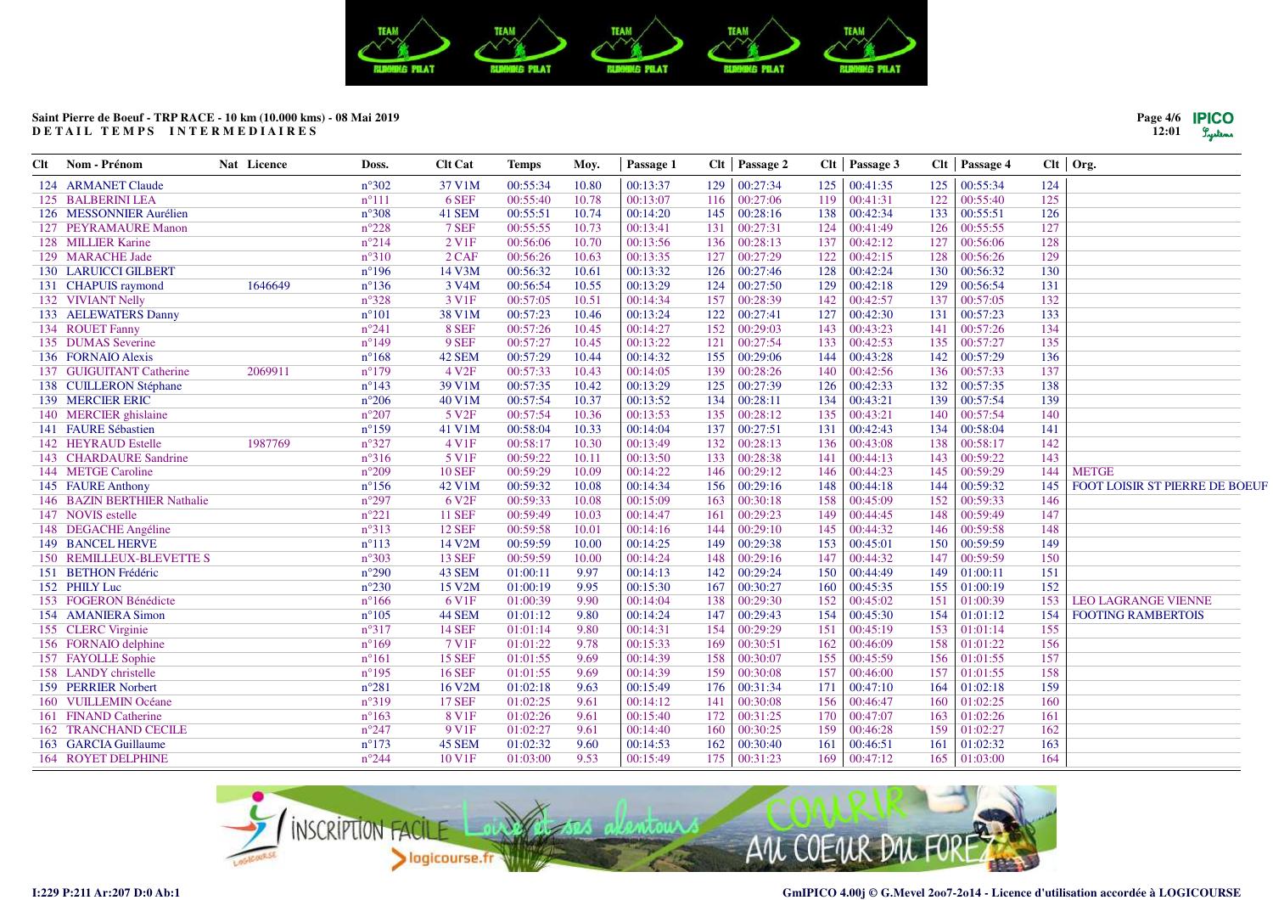

| Clt | Nom - Prénom                | Nat Licence | Doss.          | <b>Clt Cat</b>         | <b>Temps</b> | Moy.  | Passage 1 |     | Clt   Passage 2 |     | Clt Passage 3 |     | $Clt$   Passage 4   |     | $Clt$ Org.                     |
|-----|-----------------------------|-------------|----------------|------------------------|--------------|-------|-----------|-----|-----------------|-----|---------------|-----|---------------------|-----|--------------------------------|
|     | 124 ARMANET Claude          |             | $n^{\circ}302$ | 37 V1M                 | 00:55:34     | 10.80 | 00:13:37  | 129 | 00:27:34        | 125 | 00:41:35      | 125 | 00:55:34            | 124 |                                |
|     | 125 BALBERINI LEA           |             | $n^{\circ}111$ | 6 SEF                  | 00:55:40     | 10.78 | 00:13:07  | 116 | 00:27:06        | 119 | 00:41:31      | 122 | 00:55:40            | 125 |                                |
|     | 126 MESSONNIER Aurélien     |             | $n^{\circ}308$ | 41 SEM                 | 00:55:51     | 10.74 | 00:14:20  | 145 | 00:28:16        | 138 | 00:42:34      | 133 | 00:55:51            | 126 |                                |
|     | 127 PEYRAMAURE Manon        |             | $n^{\circ}228$ | 7 SEF                  | 00:55:55     | 10.73 | 00:13:41  | 131 | 00:27:31        | 124 | 00:41:49      | 126 | 00:55:55            | 127 |                                |
|     | 128 MILLIER Karine          |             | $n^{\circ}214$ | $2$ V <sub>1</sub> $F$ | 00:56:06     | 10.70 | 00:13:56  | 136 | 00:28:13        | 137 | 00:42:12      | 127 | 00:56:06            | 128 |                                |
|     | 129 MARACHE Jade            |             | $n^{\circ}310$ | $2$ CAF                | 00:56:26     | 10.63 | 00:13:35  | 127 | 00:27:29        | 122 | 00:42:15      | 128 | 00:56:26            | 129 |                                |
|     | <b>130 LARUICCI GILBERT</b> |             | $n^{\circ}196$ | 14 V3M                 | 00:56:32     | 10.61 | 00:13:32  | 126 | 00:27:46        | 128 | 00:42:24      | 130 | 00:56:32            | 130 |                                |
|     | 131 CHAPUIS raymond         | 1646649     | $n^{\circ}136$ | 3 V <sub>4</sub> M     | 00:56:54     | 10.55 | 00:13:29  | 124 | 00:27:50        | 129 | 00:42:18      | 129 | 00:56:54            | 131 |                                |
|     | 132 VIVIANT Nelly           |             | $n^{\circ}328$ | 3 V <sub>1F</sub>      | 00:57:05     | 10.51 | 00:14:34  | 157 | 00:28:39        | 142 | 00:42:57      | 137 | 00:57:05            | 132 |                                |
|     | 133 AELEWATERS Danny        |             | $n^{\circ}101$ | 38 V1M                 | 00:57:23     | 10.46 | 00:13:24  | 122 | 00:27:41        | 127 | 00:42:30      | 131 | 00:57:23            | 133 |                                |
|     | 134 ROUET Fanny             |             | $n^{\circ}241$ | 8 SEF                  | 00:57:26     | 10.45 | 00:14:27  | 152 | 00:29:03        | 143 | 00:43:23      | 141 | 00:57:26            | 134 |                                |
|     | 135 DUMAS Severine          |             | $n^{\circ}149$ | 9 SEF                  | 00:57:27     | 10.45 | 00:13:22  | 121 | 00:27:54        | 133 | 00:42:53      | 135 | 00:57:27            | 135 |                                |
|     | 136 FORNAIO Alexis          |             | $n^{\circ}168$ | 42 SEM                 | 00:57:29     | 10.44 | 00:14:32  | 155 | 00:29:06        | 144 | 00:43:28      | 142 | 00:57:29            | 136 |                                |
|     | 137 GUIGUITANT Catherine    | 2069911     | $n^{\circ}179$ | 4 V <sub>2F</sub>      | 00:57:33     | 10.43 | 00:14:05  | 139 | 00:28:26        | 140 | 00:42:56      | 136 | 00:57:33            | 137 |                                |
|     | 138 CUILLERON Stéphane      |             | $n^{\circ}143$ | 39 V1M                 | 00:57:35     | 10.42 | 00:13:29  | 125 | 00:27:39        | 126 | 00:42:33      | 132 | 00:57:35            | 138 |                                |
|     | 139 MERCIER ERIC            |             | $n^{\circ}206$ | 40 V1M                 | 00:57:54     | 10.37 | 00:13:52  | 134 | 00:28:11        | 134 | 00:43:21      | 139 | 00:57:54            | 139 |                                |
|     | 140 MERCIER ghislaine       |             | $n^{\circ}207$ | 5 V <sub>2F</sub>      | 00:57:54     | 10.36 | 00:13:53  | 135 | 00:28:12        | 135 | 00:43:21      | 140 | 00:57:54            | 140 |                                |
|     | 141 FAURE Sébastien         |             | $n^{\circ}159$ | 41 V1M                 | 00:58:04     | 10.33 | 00:14:04  | 137 | 00:27:51        | 131 | 00:42:43      | 134 | 00:58:04            | 141 |                                |
|     | 142 HEYRAUD Estelle         | 1987769     | $n^{\circ}327$ | 4 V1F                  | 00:58:17     | 10.30 | 00:13:49  | 132 | 00:28:13        | 136 | 00:43:08      | 138 | 00:58:17            | 142 |                                |
|     | 143 CHARDAURE Sandrine      |             | $n^{\circ}316$ | 5 V1F                  | 00:59:22     | 10.11 | 00:13:50  | 133 | 00:28:38        | 141 | 00:44:13      | 143 | 00:59:22            | 143 |                                |
|     | 144 METGE Caroline          |             | $n^{\circ}209$ | <b>10 SEF</b>          | 00:59:29     | 10.09 | 00:14:22  | 146 | 00:29:12        | 146 | 00:44:23      | 145 | 00:59:29            | 144 | <b>METGE</b>                   |
|     | 145 FAURE Anthony           |             | $n^{\circ}156$ | 42 V1M                 | 00:59:32     | 10.08 | 00:14:34  | 156 | 00:29:16        | 148 | 00:44:18      | 144 | 00:59:32            | 145 | FOOT LOISIR ST PIERRE DE BOEUF |
|     | 146 BAZIN BERTHIER Nathalie |             | $n^{\circ}297$ | 6 V <sub>2F</sub>      | 00:59:33     | 10.08 | 00:15:09  | 163 | 00:30:18        | 158 | 00:45:09      | 152 | 00:59:33            | 146 |                                |
|     | 147 NOVIS estelle           |             | $n^{\circ}221$ | <b>11 SEF</b>          | 00:59:49     | 10.03 | 00:14:47  | 161 | 00:29:23        | 149 | 00:44:45      | 148 | 00:59:49            | 147 |                                |
|     | 148 DEGACHE Angéline        |             | $n^{\circ}313$ | <b>12 SEF</b>          | 00:59:58     | 10.01 | 00:14:16  | 144 | 00:29:10        | 145 | 00:44:32      | 146 | 00:59:58            | 148 |                                |
|     | 149 BANCEL HERVE            |             | $n^{\circ}113$ | 14 V2M                 | 00:59:59     | 10.00 | 00:14:25  | 149 | 00:29:38        | 153 | 00:45:01      | 150 | 00:59:59            | 149 |                                |
|     | 150 REMILLEUX-BLEVETTE S    |             | $n^{\circ}303$ | <b>13 SEF</b>          | 00:59:59     | 10.00 | 00:14:24  | 148 | 00:29:16        | 147 | 00:44:32      | 147 | 00:59:59            | 150 |                                |
|     | 151 BETHON Frédéric         |             | $n^{\circ}290$ | 43 SEM                 | 01:00:11     | 9.97  | 00:14:13  | 142 | 00:29:24        | 150 | 00:44:49      | 149 | 01:00:11            | 151 |                                |
|     | 152 PHILY Luc               |             | $n^{\circ}230$ | 15 V2M                 | 01:00:19     | 9.95  | 00:15:30  | 167 | 00:30:27        | 160 | 00:45:35      | 155 | 01:00:19            | 152 |                                |
|     | 153 FOGERON Bénédicte       |             | $n^{\circ}166$ | 6 V <sub>1F</sub>      | 01:00:39     | 9.90  | 00:14:04  | 138 | 00:29:30        | 152 | 00:45:02      | 151 | 01:00:39            | 153 | <b>LEO LAGRANGE VIENNE</b>     |
|     | 154 AMANIERA Simon          |             | $n^{\circ}105$ | 44 SEM                 | 01:01:12     | 9.80  | 00:14:24  | 147 | 00:29:43        | 154 | 00:45:30      | 154 | 01:01:12            | 154 | FOOTING RAMBERTOIS             |
|     | 155 CLERC Virginie          |             | $n^{\circ}317$ | <b>14 SEF</b>          | 01:01:14     | 9.80  | 00:14:31  | 154 | 00:29:29        | 151 | 00:45:19      | 153 | 01:01:14            | 155 |                                |
|     | 156 FORNAIO delphine        |             | $n^{\circ}169$ | 7 V1F                  | 01:01:22     | 9.78  | 00:15:33  | 169 | 00:30:51        | 162 | 00:46:09      | 158 | 01:01:22            | 156 |                                |
|     | 157 FAYOLLE Sophie          |             | $n^{\circ}161$ | <b>15 SEF</b>          | 01:01:55     | 9.69  | 00:14:39  | 158 | 00:30:07        | 155 | 00:45:59      | 156 | 01:01:55            | 157 |                                |
|     | 158 LANDY christelle        |             | $n^{\circ}195$ | <b>16 SEF</b>          | 01:01:55     | 9.69  | 00:14:39  | 159 | 00:30:08        | 157 | 00:46:00      | 157 | 01:01:55            | 158 |                                |
|     | 159 PERRIER Norbert         |             | $n^{\circ}281$ | 16 V2M                 | 01:02:18     | 9.63  | 00:15:49  | 176 | 00:31:34        | 171 | 00:47:10      | 164 | 01:02:18            | 159 |                                |
|     | 160 VUILLEMIN Océane        |             | $n^{\circ}319$ | <b>17 SEF</b>          | 01:02:25     | 9.61  | 00:14:12  | 141 | 00:30:08        | 156 | 00:46:47      | 160 | 01:02:25            | 160 |                                |
|     | 161 FINAND Catherine        |             | $n^{\circ}163$ | 8 V <sub>1F</sub>      | 01:02:26     | 9.61  | 00:15:40  | 172 | 00:31:25        | 170 | 00:47:07      | 163 | 01:02:26            | 161 |                                |
|     | <b>162 TRANCHAND CECILE</b> |             | $n^{\circ}247$ | 9 V <sub>1F</sub>      | 01:02:27     | 9.61  | 00:14:40  | 160 | 00:30:25        | 159 | 00:46:28      | 159 | 01:02:27            | 162 |                                |
|     | 163 GARCIA Guillaume        |             | $n^{\circ}173$ | 45 SEM                 | 01:02:32     | 9.60  | 00:14:53  | 162 | 00:30:40        | 161 | 00:46:51      | 161 | 01:02:32            | 163 |                                |
|     | <b>164 ROYET DELPHINE</b>   |             | $n^{\circ}244$ | 10 V1F                 | 01:03:00     | 9.53  | 00:15:49  |     | 175 00:31:23    | 169 | 00:47:12      |     | $165 \mid 01:03:00$ | 164 |                                |



**Page 4/612:01**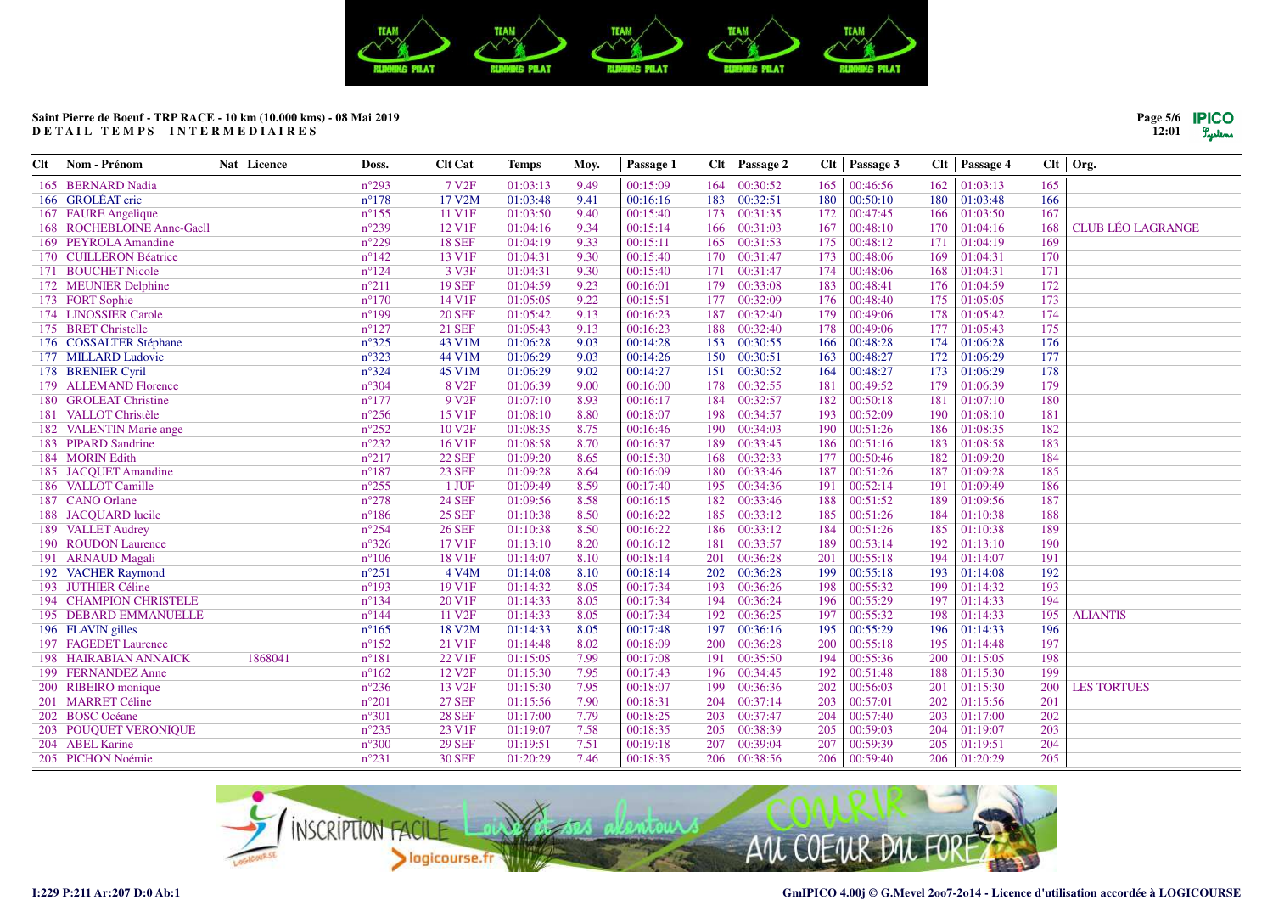

| Clt | Nom - Prénom                 | Nat Licence | Doss.           | <b>Clt Cat</b>     | Temps    | Moy. | Passage 1 |     | Clt   Passage 2 | Clt | Passage 3 |     | $Clt$   Passage 4 |     | $Clt$ Org.               |
|-----|------------------------------|-------------|-----------------|--------------------|----------|------|-----------|-----|-----------------|-----|-----------|-----|-------------------|-----|--------------------------|
|     | 165 BERNARD Nadia            |             | $n^{\circ}293$  | 7 V <sub>2F</sub>  | 01:03:13 | 9.49 | 00:15:09  | 164 | 00:30:52        | 165 | 00:46:56  | 162 | 01:03:13          | 165 |                          |
|     | 166 GROLÉAT eric             |             | $n^{\circ}178$  | 17 V2M             | 01:03:48 | 9.41 | 00:16:16  | 183 | 00:32:51        | 180 | 00:50:10  | 180 | 01:03:48          | 166 |                          |
|     | 167 FAURE Angelique          |             | $n^{\circ}$ 155 | 11 V1F             | 01:03:50 | 9.40 | 00:15:40  | 173 | 00:31:35        | 172 | 00:47:45  | 166 | 01:03:50          | 167 |                          |
|     | 168 ROCHEBLOINE Anne-Gaell   |             | $n^{\circ}239$  | 12 V1F             | 01:04:16 | 9.34 | 00:15:14  | 166 | 00:31:03        | 167 | 00:48:10  | 170 | 01:04:16          | 168 | <b>CLUB LÉO LAGRANGE</b> |
|     | 169 PEYROLA Amandine         |             | $n^{\circ}229$  | <b>18 SEF</b>      | 01:04:19 | 9.33 | 00:15:11  | 165 | 00:31:53        | 175 | 00:48:12  | 171 | 01:04:19          | 169 |                          |
|     | 170 CUILLERON Béatrice       |             | $n^{\circ}142$  | 13 V1F             | 01:04:31 | 9.30 | 00:15:40  | 170 | 00:31:47        | 173 | 00:48:06  | 169 | 01:04:31          | 170 |                          |
|     | 171 BOUCHET Nicole           |             | $n^{\circ}124$  | 3 V3F              | 01:04:31 | 9.30 | 00:15:40  | 171 | 00:31:47        | 174 | 00:48:06  | 168 | 01:04:31          | 171 |                          |
|     | 172 MEUNIER Delphine         |             | $n^{\circ}211$  | <b>19 SEF</b>      | 01:04:59 | 9.23 | 00:16:01  | 179 | 00:33:08        | 183 | 00:48:41  | 176 | 01:04:59          | 172 |                          |
|     | 173 FORT Sophie              |             | $n^{\circ}170$  | 14 V1F             | 01:05:05 | 9.22 | 00:15:51  | 177 | 00:32:09        | 176 | 00:48:40  | 175 | 01:05:05          | 173 |                          |
|     | 174 LINOSSIER Carole         |             | $n^{\circ}199$  | <b>20 SEF</b>      | 01:05:42 | 9.13 | 00:16:23  | 187 | 00:32:40        | 179 | 00:49:06  | 178 | 01:05:42          | 174 |                          |
|     | 175 BRET Christelle          |             | $n^{\circ}127$  | <b>21 SEF</b>      | 01:05:43 | 9.13 | 00:16:23  | 188 | 00:32:40        | 178 | 00:49:06  | 177 | 01:05:43          | 175 |                          |
|     | 176 COSSALTER Stéphane       |             | $n^{\circ}325$  | 43 V1M             | 01:06:28 | 9.03 | 00:14:28  | 153 | 00:30:55        | 166 | 00:48:28  | 174 | 01:06:28          | 176 |                          |
|     | 177 MILLARD Ludovic          |             | $n^{\circ}323$  | 44 V1M             | 01:06:29 | 9.03 | 00:14:26  | 150 | 00:30:51        | 163 | 00:48:27  | 172 | 01:06:29          | 177 |                          |
|     | 178 BRENIER Cyril            |             | $n^{\circ}324$  | 45 V1M             | 01:06:29 | 9.02 | 00:14:27  | 151 | 00:30:52        | 164 | 00:48:27  | 173 | 01:06:29          | 178 |                          |
|     | 179 ALLEMAND Florence        |             | $n^{\circ}304$  | 8 V <sub>2F</sub>  | 01:06:39 | 9.00 | 00:16:00  | 178 | 00:32:55        | 181 | 00:49:52  | 179 | 01:06:39          | 179 |                          |
|     | 180 GROLEAT Christine        |             | $n^{\circ}177$  | 9 V <sub>2F</sub>  | 01:07:10 | 8.93 | 00:16:17  | 184 | 00:32:57        | 182 | 00:50:18  | 181 | 01:07:10          | 180 |                          |
|     | 181 VALLOT Christèle         |             | $n^{\circ}256$  | 15 V1F             | 01:08:10 | 8.80 | 00:18:07  | 198 | 00:34:57        | 193 | 00:52:09  | 190 | 01:08:10          | 181 |                          |
|     | 182 VALENTIN Marie ange      |             | $n^{\circ}252$  | 10 V <sub>2F</sub> | 01:08:35 | 8.75 | 00:16:46  | 190 | 00:34:03        | 190 | 00:51:26  | 186 | 01:08:35          | 182 |                          |
|     | 183 PIPARD Sandrine          |             | $n^{\circ}232$  | 16 V1F             | 01:08:58 | 8.70 | 00:16:37  | 189 | 00:33:45        | 186 | 00:51:16  | 183 | 01:08:58          | 183 |                          |
|     | 184 MORIN Edith              |             | $n^{\circ}217$  | <b>22 SEF</b>      | 01:09:20 | 8.65 | 00:15:30  | 168 | 00:32:33        | 177 | 00:50:46  | 182 | 01:09:20          | 184 |                          |
|     | 185 JACQUET Amandine         |             | $n^{\circ}187$  | <b>23 SEF</b>      | 01:09:28 | 8.64 | 00:16:09  | 180 | 00:33:46        | 187 | 00:51:26  | 187 | 01:09:28          | 185 |                          |
|     | 186 VALLOT Camille           |             | $n^{\circ}255$  | 1 JUF              | 01:09:49 | 8.59 | 00:17:40  | 195 | 00:34:36        | 191 | 00:52:14  | 191 | 01:09:49          | 186 |                          |
|     | 187 CANO Orlane              |             | $n^{\circ}278$  | <b>24 SEF</b>      | 01:09:56 | 8.58 | 00:16:15  | 182 | 00:33:46        | 188 | 00:51:52  | 189 | 01:09:56          | 187 |                          |
|     | 188 JACOUARD lucile          |             | $n^{\circ}186$  | <b>25 SEF</b>      | 01:10:38 | 8.50 | 00:16:22  | 185 | 00:33:12        | 185 | 00:51:26  | 184 | 01:10:38          | 188 |                          |
|     | 189 VALLET Audrey            |             | $n^{\circ}254$  | <b>26 SEF</b>      | 01:10:38 | 8.50 | 00:16:22  | 186 | 00:33:12        | 184 | 00:51:26  | 185 | 01:10:38          | 189 |                          |
|     | 190 ROUDON Laurence          |             | $n^{\circ}326$  | 17 V1F             | 01:13:10 | 8.20 | 00:16:12  | 181 | 00:33:57        | 189 | 00:53:14  | 192 | 01:13:10          | 190 |                          |
|     | 191 ARNAUD Magali            |             | $n^{\circ}106$  | 18 V1F             | 01:14:07 | 8.10 | 00:18:14  | 201 | 00:36:28        | 201 | 00:55:18  | 194 | 01:14:07          | 191 |                          |
|     | 192 VACHER Raymond           |             | $n^{\circ}251$  | 4 V4M              | 01:14:08 | 8.10 | 00:18:14  | 202 | 00:36:28        | 199 | 00:55:18  | 193 | 01:14:08          | 192 |                          |
|     | 193 JUTHIER Céline           |             | $n^{\circ}193$  | 19 V1F             | 01:14:32 | 8.05 | 00:17:34  | 193 | 00:36:26        | 198 | 00:55:32  | 199 | 01:14:32          | 193 |                          |
|     | 194 CHAMPION CHRISTELE       |             | $n^{\circ}134$  | 20 V1F             | 01:14:33 | 8.05 | 00:17:34  | 194 | 00:36:24        | 196 | 00:55:29  | 197 | 01:14:33          | 194 |                          |
|     | 195 DEBARD EMMANUELLE        |             | $n^{\circ}144$  | 11 V <sub>2F</sub> | 01:14:33 | 8.05 | 00:17:34  | 192 | 00:36:25        | 197 | 00:55:32  | 198 | 01:14:33          | 195 | <b>ALIANTIS</b>          |
|     | 196 FLAVIN gilles            |             | $n^{\circ}165$  | 18 V2M             | 01:14:33 | 8.05 | 00:17:48  | 197 | 00:36:16        | 195 | 00:55:29  | 196 | 01:14:33          | 196 |                          |
|     | 197 FAGEDET Laurence         |             | $n^{\circ}152$  | 21 V1F             | 01:14:48 | 8.02 | 00:18:09  | 200 | 00:36:28        | 200 | 00:55:18  | 195 | 01:14:48          | 197 |                          |
|     | <b>198 HAIRABIAN ANNAICK</b> | 1868041     | $n^{\circ}181$  | 22 V1F             | 01:15:05 | 7.99 | 00:17:08  | 191 | 00:35:50        | 194 | 00:55:36  | 200 | 01:15:05          | 198 |                          |
|     | 199 FERNANDEZ Anne           |             | $n^{\circ}162$  | 12 V <sub>2F</sub> | 01:15:30 | 7.95 | 00:17:43  | 196 | 00:34:45        | 192 | 00:51:48  | 188 | 01:15:30          | 199 |                          |
|     | 200 RIBEIRO monique          |             | $n^{\circ}236$  | 13 V <sub>2F</sub> | 01:15:30 | 7.95 | 00:18:07  | 199 | 00:36:36        | 202 | 00:56:03  | 201 | 01:15:30          | 200 | <b>LES TORTUES</b>       |
|     | 201 MARRET Céline            |             | $n^{\circ}201$  | <b>27 SEF</b>      | 01:15:56 | 7.90 | 00:18:31  | 204 | 00:37:14        | 203 | 00:57:01  | 202 | 01:15:56          | 201 |                          |
|     | 202 BOSC Océane              |             | $n^{\circ}301$  | <b>28 SEF</b>      | 01:17:00 | 7.79 | 00:18:25  | 203 | 00:37:47        | 204 | 00:57:40  | 203 | 01:17:00          | 202 |                          |
|     | 203 POUQUET VERONIQUE        |             | $n^{\circ}235$  | 23 V1F             | 01:19:07 | 7.58 | 00:18:35  | 205 | 00:38:39        | 205 | 00:59:03  | 204 | 01:19:07          | 203 |                          |
|     | 204 ABEL Karine              |             | $n^{\circ}300$  | <b>29 SEF</b>      | 01:19:51 | 7.51 | 00:19:18  | 207 | 00:39:04        | 207 | 00:59:39  | 205 | 01:19:51          | 204 |                          |
|     | 205 PICHON Noémie            |             | $n^{\circ}231$  | <b>30 SEF</b>      | 01:20:29 | 7.46 | 00:18:35  | 206 | 00:38:56        | 206 | 00:59:40  | 206 | 01:20:29          | 205 |                          |



**Page 5/6 12:01**